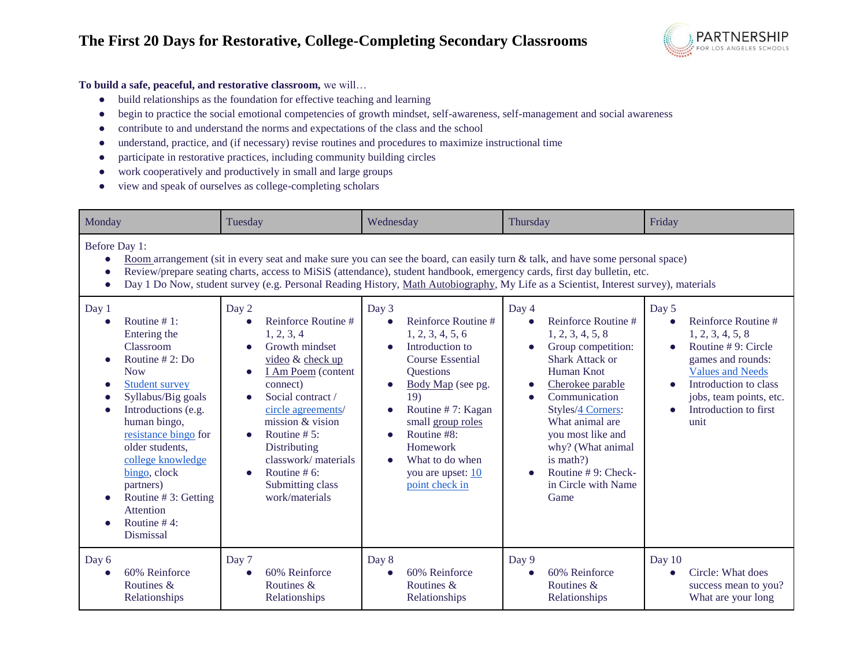

## **To build a safe, peaceful, and restorative classroom,** we will…

- build relationships as the foundation for effective teaching and learning
- begin to practice the social emotional competencies of growth mindset, self-awareness, self-management and social awareness
- contribute to and understand the norms and expectations of the class and the school
- understand, practice, and (if necessary) revise routines and procedures to maximize instructional time
- participate in restorative practices, including community building circles
- work cooperatively and productively in small and large groups
- view and speak of ourselves as college-completing scholars

| Monday                                                                                                                                                                                                                                                                                                                                                                                                              | Tuesday                                                                                                                                                                                                                                                                                                                                    | Wednesday                                                                                                                                                                                                                                                                                                                              | Thursday                                                                                                                                                                                                                                                                                                            | Friday                                                                                                                                                                                                                               |  |  |
|---------------------------------------------------------------------------------------------------------------------------------------------------------------------------------------------------------------------------------------------------------------------------------------------------------------------------------------------------------------------------------------------------------------------|--------------------------------------------------------------------------------------------------------------------------------------------------------------------------------------------------------------------------------------------------------------------------------------------------------------------------------------------|----------------------------------------------------------------------------------------------------------------------------------------------------------------------------------------------------------------------------------------------------------------------------------------------------------------------------------------|---------------------------------------------------------------------------------------------------------------------------------------------------------------------------------------------------------------------------------------------------------------------------------------------------------------------|--------------------------------------------------------------------------------------------------------------------------------------------------------------------------------------------------------------------------------------|--|--|
| Before Day 1:<br>Room arrangement (sit in every seat and make sure you can see the board, can easily turn & talk, and have some personal space)<br>Review/prepare seating charts, access to MiSiS (attendance), student handbook, emergency cards, first day bulletin, etc.<br>Day 1 Do Now, student survey (e.g. Personal Reading History, Math Autobiography, My Life as a Scientist, Interest survey), materials |                                                                                                                                                                                                                                                                                                                                            |                                                                                                                                                                                                                                                                                                                                        |                                                                                                                                                                                                                                                                                                                     |                                                                                                                                                                                                                                      |  |  |
| Day 1<br>Routine $# 1$ :<br>Entering the<br>Classroom<br>Routine $# 2: Do$<br><b>Now</b><br><b>Student survey</b><br>$\bullet$<br>Syllabus/Big goals<br>Introductions (e.g.<br>human bingo,<br>resistance bingo for<br>older students.<br>college knowledge<br>bingo, clock<br>partners)<br>Routine $# 3$ : Getting<br><b>Attention</b><br>Routine #4:<br>Dismissal                                                 | Day 2<br>Reinforce Routine#<br>1, 2, 3, 4<br>Growth mindset<br>video & check up<br>I Am Poem (content<br>$\bullet$<br>connect)<br>Social contract /<br>circle agreements/<br>mission & vision<br>Routine $# 5$ :<br>$\bullet$<br>Distributing<br>classwork/materials<br>Routine $# 6$ :<br>$\bullet$<br>Submitting class<br>work/materials | Day 3<br>Reinforce Routine#<br>$\bullet$<br>1, 2, 3, 4, 5, 6<br>Introduction to<br><b>Course Essential</b><br>Questions<br>Body Map (see pg.<br>$\bullet$<br>19)<br>Routine #7: Kagan<br>$\bullet$<br>small group roles<br>Routine #8:<br>$\bullet$<br>Homework<br>What to do when<br>$\bullet$<br>you are upset: 10<br>point check in | Day 4<br>Reinforce Routine#<br>1, 2, 3, 4, 5, 8<br>Group competition:<br><b>Shark Attack or</b><br>Human Knot<br>Cherokee parable<br>Communication<br>$\bullet$<br>Styles/4 Corners:<br>What animal are<br>you most like and<br>why? (What animal<br>is math?)<br>Routine #9: Check-<br>in Circle with Name<br>Game | Day 5<br>Reinforce Routine#<br>1, 2, 3, 4, 5, 8<br>Routine #9: Circle<br>games and rounds:<br><b>Values and Needs</b><br>Introduction to class<br>$\bullet$<br>jobs, team points, etc.<br>Introduction to first<br>$\bullet$<br>unit |  |  |
| Day 6<br>60% Reinforce<br>Routines &<br>Relationships                                                                                                                                                                                                                                                                                                                                                               | Day 7<br>60% Reinforce<br>Routines &<br>Relationships                                                                                                                                                                                                                                                                                      | Day 8<br>60% Reinforce<br>$\bullet$<br>Routines &<br>Relationships                                                                                                                                                                                                                                                                     | Day 9<br>60% Reinforce<br>Routines &<br>Relationships                                                                                                                                                                                                                                                               | Day 10<br>Circle: What does<br>success mean to you?<br>What are your long                                                                                                                                                            |  |  |